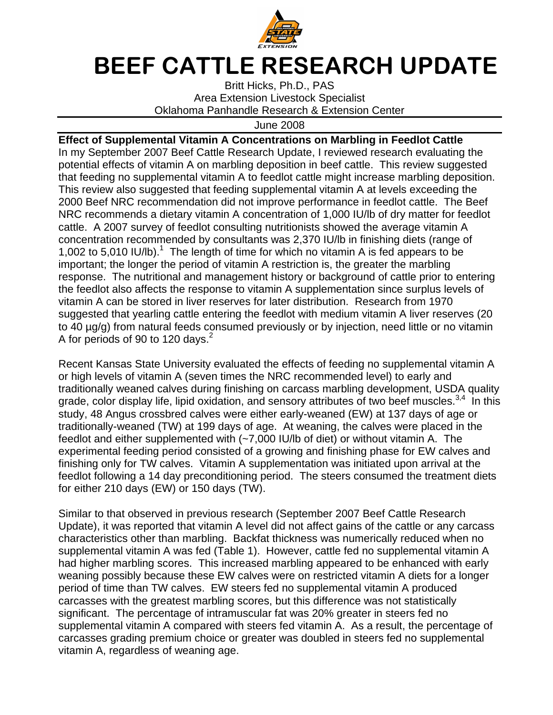

## BEEF CATTLE RESEARCH UPDATE

Britt Hicks, Ph.D., PAS Area Extension Livestock Specialist Oklahoma Panhandle Research & Extension Center

June 2008

**Effect of Supplemental Vitamin A Concentrations on Marbling in Feedlot Cattle**  In my September 2007 Beef Cattle Research Update, I reviewed research evaluating the potential effects of vitamin A on marbling deposition in beef cattle. This review suggested that feeding no supplemental vitamin A to feedlot cattle might increase marbling deposition. This review also suggested that feeding supplemental vitamin A at levels exceeding the 2000 Beef NRC recommendation did not improve performance in feedlot cattle. The Beef NRC recommends a dietary vitamin A concentration of 1,000 IU/lb of dry matter for feedlot cattle. A 2007 survey of feedlot consulting nutritionists showed the average vitamin A concentration recommended by consultants was 2,370 IU/lb in finishing diets (range of 1,002 to 5,010 IU/lb).<sup>1</sup> The length of time for which no vitamin A is fed appears to be important; the longer the period of vitamin A restriction is, the greater the marbling response. The nutritional and management history or background of cattle prior to entering the feedlot also affects the response to vitamin A supplementation since surplus levels of vitamin A can be stored in liver reserves for later distribution. Research from 1970 suggested that yearling cattle entering the feedlot with medium vitamin A liver reserves (20 to 40 µg/g) from natural feeds consumed previously or by injection, need little or no vitamin A for periods of 90 to 120 days.<sup>2</sup>

Recent Kansas State University evaluated the effects of feeding no supplemental vitamin A or high levels of vitamin A (seven times the NRC recommended level) to early and traditionally weaned calves during finishing on carcass marbling development, USDA quality grade, color display life, lipid oxidation, and sensory attributes of two beef muscles.<sup>3,4</sup> In this study, 48 Angus crossbred calves were either early-weaned (EW) at 137 days of age or traditionally-weaned (TW) at 199 days of age. At weaning, the calves were placed in the feedlot and either supplemented with (~7,000 IU/lb of diet) or without vitamin A. The experimental feeding period consisted of a growing and finishing phase for EW calves and finishing only for TW calves. Vitamin A supplementation was initiated upon arrival at the feedlot following a 14 day preconditioning period. The steers consumed the treatment diets for either 210 days (EW) or 150 days (TW).

Similar to that observed in previous research (September 2007 Beef Cattle Research Update), it was reported that vitamin A level did not affect gains of the cattle or any carcass characteristics other than marbling. Backfat thickness was numerically reduced when no supplemental vitamin A was fed (Table 1). However, cattle fed no supplemental vitamin A had higher marbling scores. This increased marbling appeared to be enhanced with early weaning possibly because these EW calves were on restricted vitamin A diets for a longer period of time than TW calves. EW steers fed no supplemental vitamin A produced carcasses with the greatest marbling scores, but this difference was not statistically significant. The percentage of intramuscular fat was 20% greater in steers fed no supplemental vitamin A compared with steers fed vitamin A. As a result, the percentage of carcasses grading premium choice or greater was doubled in steers fed no supplemental vitamin A, regardless of weaning age.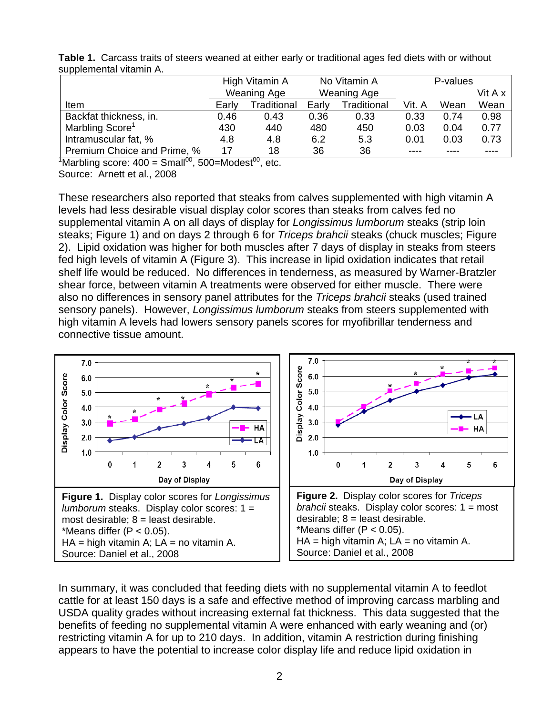|                             | High Vitamin A     |             | No Vitamin A       |             | P-values |      |         |
|-----------------------------|--------------------|-------------|--------------------|-------------|----------|------|---------|
|                             | <b>Weaning Age</b> |             | <b>Weaning Age</b> |             |          |      | Vit A x |
| Item                        | Early              | Traditional | Early              | Traditional | Vit. A   | Wean | Wean    |
| Backfat thickness, in.      | 0.46               | 0.43        | 0.36               | 0.33        | 0.33     | 0.74 | 0.98    |
| Marbling Score <sup>1</sup> | 430                | 440         | 480                | 450         | 0.03     | 0.04 | 0.77    |
| Intramuscular fat, %        | 4.8                | 4.8         | 6.2                | 5.3         | 0.01     | 0.03 | 0.73    |
| Premium Choice and Prime, % | 17                 | 18          | 36                 | 36          |          |      |         |

**Table 1.** Carcass traits of steers weaned at either early or traditional ages fed diets with or without supplemental vitamin A.

 $\sqrt[4]{1}$ Marbling score: 400 = Small<sup>00</sup>, 500=Modest<sup>00</sup>, etc. Source: Arnett et al., 2008

These researchers also reported that steaks from calves supplemented with high vitamin A levels had less desirable visual display color scores than steaks from calves fed no supplemental vitamin A on all days of display for Longissimus lumborum steaks (strip loin steaks; Figure 1) and on days 2 through 6 for *Triceps brahcii* steaks (chuck muscles; Figure 2). Lipid oxidation was higher for both muscles after 7 days of display in steaks from steers fed high levels of vitamin A (Figure 3). This increase in lipid oxidation indicates that retail shelf life would be reduced. No differences in tenderness, as measured by Warner-Bratzler shear force, between vitamin A treatments were observed for either muscle. There were also no differences in sensory panel attributes for the *Triceps brahcii* steaks (used trained sensory panels). However, *Longissimus lumborum* steaks from steers supplemented with high vitamin A levels had lowers sensory panels scores for myofibrillar tenderness and connective tissue amount.



In summary, it was concluded that feeding diets with no supplemental vitamin A to feedlot cattle for at least 150 days is a safe and effective method of improving carcass marbling and USDA quality grades without increasing external fat thickness. This data suggested that the benefits of feeding no supplemental vitamin A were enhanced with early weaning and (or) restricting vitamin A for up to 210 days. In addition, vitamin A restriction during finishing appears to have the potential to increase color display life and reduce lipid oxidation in